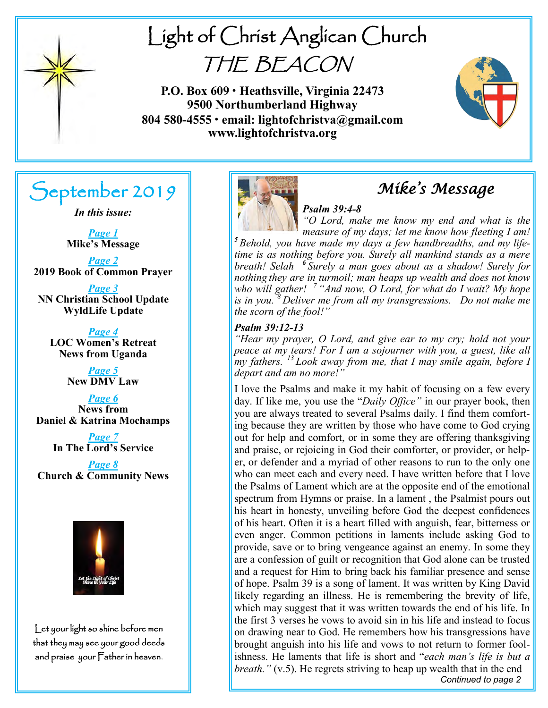

# Light of Christ Anglican Church THE BEACON

**P.O. Box 609 • Heathsville, Virginia 22473 9500 Northumberland Highway 804 580-4555 • email: lightofchristva@gmail.com www.lightofchristva.org**



# September 2019

*In this issue:*

*Page 1* **Mike's Message**

*Page 2* **2019 Book of Common Prayer**

*Page 3* **NN Christian School Update WyldLife Update**

*Page 4* **LOC Women's Retreat News from Uganda**

> *Page 5* **New DMV Law**

*Page 6* **News from Daniel & Katrina Mochamps**

> *Page 7* **In The Lord's Service**

*Page 8* **Church & Community News**



Let your light so shine before men that they may see your good deeds and praise your Father in heaven.



# *Mike's Message*

### *Psalm 39:4-8*

*"O Lord, make me know my end and what is the measure of my days; let me know how fleeting I am! <sup>5</sup> Behold, you have made my days a few handbreadths, and my lifetime is as nothing before you. Surely all mankind stands as a mere breath! Selah <sup>6</sup> Surely a man goes about as a shadow! Surely for nothing they are in turmoil; man heaps up wealth and does not know who will gather! <sup>7</sup> "And now, O Lord, for what do I wait? My hope is in you. <sup>8</sup>Deliver me from all my transgressions. Do not make me the scorn of the fool!"* 

#### *Psalm 39:12-13*

*"Hear my prayer, O Lord, and give ear to my cry; hold not your peace at my tears! For I am a sojourner with you, a guest, like all my fathers. <sup>13</sup> Look away from me, that I may smile again, before I depart and am no more!"* 

*Continued to page 2*  I love the Psalms and make it my habit of focusing on a few every day. If like me, you use the "*Daily Office"* in our prayer book, then you are always treated to several Psalms daily. I find them comforting because they are written by those who have come to God crying out for help and comfort, or in some they are offering thanksgiving and praise, or rejoicing in God their comforter, or provider, or helper, or defender and a myriad of other reasons to run to the only one who can meet each and every need. I have written before that I love the Psalms of Lament which are at the opposite end of the emotional spectrum from Hymns or praise. In a lament , the Psalmist pours out his heart in honesty, unveiling before God the deepest confidences of his heart. Often it is a heart filled with anguish, fear, bitterness or even anger. Common petitions in laments include asking God to provide, save or to bring vengeance against an enemy. In some they are a confession of guilt or recognition that God alone can be trusted and a request for Him to bring back his familiar presence and sense of hope. Psalm 39 is a song of lament. It was written by King David likely regarding an illness. He is remembering the brevity of life, which may suggest that it was written towards the end of his life. In the first 3 verses he vows to avoid sin in his life and instead to focus on drawing near to God. He remembers how his transgressions have brought anguish into his life and vows to not return to former foolishness. He laments that life is short and "*each man's life is but a breath."* (v.5). He regrets striving to heap up wealth that in the end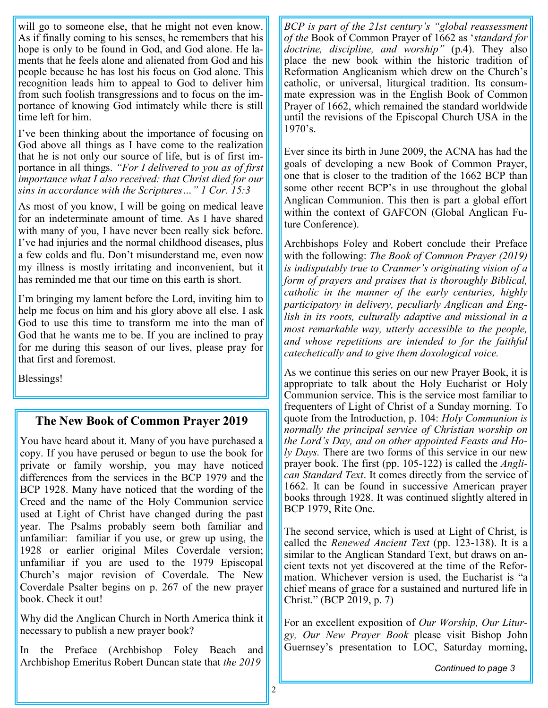will go to someone else, that he might not even know. As if finally coming to his senses, he remembers that his hope is only to be found in God, and God alone. He laments that he feels alone and alienated from God and his people because he has lost his focus on God alone. This recognition leads him to appeal to God to deliver him from such foolish transgressions and to focus on the importance of knowing God intimately while there is still time left for him.

I've been thinking about the importance of focusing on God above all things as I have come to the realization that he is not only our source of life, but is of first importance in all things. *"For I delivered to you as of first importance what I also received: that Christ died for our sins in accordance with the Scriptures…" 1 Cor. 15:3*

As most of you know, I will be going on medical leave for an indeterminate amount of time. As I have shared with many of you, I have never been really sick before. I've had injuries and the normal childhood diseases, plus a few colds and flu. Don't misunderstand me, even now my illness is mostly irritating and inconvenient, but it has reminded me that our time on this earth is short.

I'm bringing my lament before the Lord, inviting him to help me focus on him and his glory above all else. I ask God to use this time to transform me into the man of God that he wants me to be. If you are inclined to pray for me during this season of our lives, please pray for that first and foremost.

Blessings!

# **The New Book of Common Prayer 2019**

You have heard about it. Many of you have purchased a copy. If you have perused or begun to use the book for private or family worship, you may have noticed differences from the services in the BCP 1979 and the BCP 1928. Many have noticed that the wording of the Creed and the name of the Holy Communion service used at Light of Christ have changed during the past year. The Psalms probably seem both familiar and unfamiliar: familiar if you use, or grew up using, the 1928 or earlier original Miles Coverdale version; unfamiliar if you are used to the 1979 Episcopal Church's major revision of Coverdale. The New Coverdale Psalter begins on p. 267 of the new prayer book. Check it out!

Why did the Anglican Church in North America think it necessary to publish a new prayer book?

In the Preface (Archbishop Foley Beach and Archbishop Emeritus Robert Duncan state that *the 2019* 

*BCP is part of the 21st century's "global reassessment of the* Book of Common Prayer of 1662 as '*standard for doctrine, discipline, and worship"* (p.4). They also place the new book within the historic tradition of Reformation Anglicanism which drew on the Church's catholic, or universal, liturgical tradition. Its consummate expression was in the English Book of Common Prayer of 1662, which remained the standard worldwide until the revisions of the Episcopal Church USA in the 1970's.

Ever since its birth in June 2009, the ACNA has had the goals of developing a new Book of Common Prayer, one that is closer to the tradition of the 1662 BCP than some other recent BCP's in use throughout the global Anglican Communion. This then is part a global effort within the context of GAFCON (Global Anglican Future Conference).

Archbishops Foley and Robert conclude their Preface with the following: *The Book of Common Prayer (2019) is indisputably true to Cranmer's originating vision of a form of prayers and praises that is thoroughly Biblical, catholic in the manner of the early centuries, highly participatory in delivery, peculiarly Anglican and English in its roots, culturally adaptive and missional in a most remarkable way, utterly accessible to the people, and whose repetitions are intended to for the faithful catechetically and to give them doxological voice.*

As we continue this series on our new Prayer Book, it is appropriate to talk about the Holy Eucharist or Holy Communion service. This is the service most familiar to frequenters of Light of Christ of a Sunday morning. To quote from the Introduction, p. 104: *Holy Communion is normally the principal service of Christian worship on the Lord's Day, and on other appointed Feasts and Holy Days.* There are two forms of this service in our new prayer book. The first (pp. 105-122) is called the *Anglican Standard Text*. It comes directly from the service of 1662. It can be found in successive American prayer books through 1928. It was continued slightly altered in BCP 1979, Rite One.

The second service, which is used at Light of Christ, is called the *Renewed Ancient Text* (pp. 123-138). It is a similar to the Anglican Standard Text, but draws on ancient texts not yet discovered at the time of the Reformation. Whichever version is used, the Eucharist is "a chief means of grace for a sustained and nurtured life in Christ." (BCP 2019, p. 7)

For an excellent exposition of *Our Worship, Our Liturgy, Our New Prayer Book* please visit Bishop John Guernsey's presentation to LOC, Saturday morning,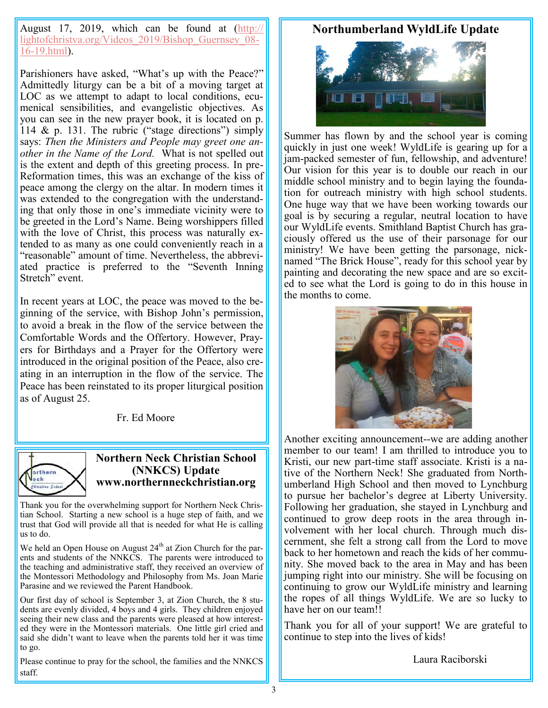August 17, 2019, which can be found at ([http://](http://lightofchristva.org/Videos_2019/Bishop_Guernsey_08-16-19.html) lightofchristva.org/Videos 2019/Bishop Guernsey 08-16-[19.html\)](http://lightofchristva.org/Videos_2019/Bishop_Guernsey_08-16-19.html).

Parishioners have asked, "What's up with the Peace?" Admittedly liturgy can be a bit of a moving target at LOC as we attempt to adapt to local conditions, ecumenical sensibilities, and evangelistic objectives. As you can see in the new prayer book, it is located on p. 114 & p. 131. The rubric ("stage directions") simply says: *Then the Ministers and People may greet one another in the Name of the Lord.* What is not spelled out is the extent and depth of this greeting process. In pre-Reformation times, this was an exchange of the kiss of peace among the clergy on the altar. In modern times it was extended to the congregation with the understanding that only those in one's immediate vicinity were to be greeted in the Lord's Name. Being worshippers filled with the love of Christ, this process was naturally extended to as many as one could conveniently reach in a "reasonable" amount of time. Nevertheless, the abbreviated practice is preferred to the "Seventh Inning Stretch" event.

In recent years at LOC, the peace was moved to the beginning of the service, with Bishop John's permission, to avoid a break in the flow of the service between the Comfortable Words and the Offertory. However, Prayers for Birthdays and a Prayer for the Offertory were introduced in the original position of the Peace, also creating in an interruption in the flow of the service. The Peace has been reinstated to its proper liturgical position as of August 25.

Fr. Ed Moore



#### **Northern Neck Christian School (NNKCS) Update www.northernneckchristian.org**

Thank you for the overwhelming support for Northern Neck Christian School. Starting a new school is a huge step of faith, and we trust that God will provide all that is needed for what He is calling us to do.

We held an Open House on August  $24<sup>th</sup>$  at Zion Church for the parents and students of the NNKCS. The parents were introduced to the teaching and administrative staff, they received an overview of the Montessori Methodology and Philosophy from Ms. Joan Marie Parasine and we reviewed the Parent Handbook.

Our first day of school is September 3, at Zion Church, the 8 students are evenly divided, 4 boys and 4 girls. They children enjoyed seeing their new class and the parents were pleased at how interested they were in the Montessori materials. One little girl cried and said she didn't want to leave when the parents told her it was time to go.

Please continue to pray for the school, the families and the NNKCS staff.

## **Northumberland WyldLife Update**



Summer has flown by and the school year is coming quickly in just one week! WyldLife is gearing up for a jam-packed semester of fun, fellowship, and adventure! Our vision for this year is to double our reach in our middle school ministry and to begin laying the foundation for outreach ministry with high school students. One huge way that we have been working towards our goal is by securing a regular, neutral location to have our WyldLife events. Smithland Baptist Church has graciously offered us the use of their parsonage for our ministry! We have been getting the parsonage, nicknamed "The Brick House", ready for this school year by painting and decorating the new space and are so excited to see what the Lord is going to do in this house in the months to come.



Another exciting announcement--we are adding another member to our team! I am thrilled to introduce you to Kristi, our new part-time staff associate. Kristi is a native of the Northern Neck! She graduated from Northumberland High School and then moved to Lynchburg to pursue her bachelor's degree at Liberty University. Following her graduation, she stayed in Lynchburg and continued to grow deep roots in the area through involvement with her local church. Through much discernment, she felt a strong call from the Lord to move back to her hometown and reach the kids of her community. She moved back to the area in May and has been jumping right into our ministry. She will be focusing on continuing to grow our WyldLife ministry and learning the ropes of all things WyldLife. We are so lucky to have her on our team!!

Thank you for all of your support! We are grateful to continue to step into the lives of kids!

Laura Raciborski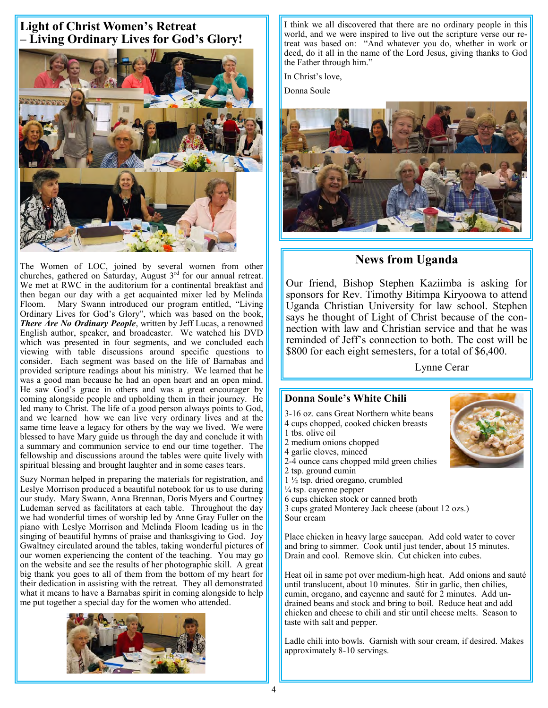# **Light of Christ Women's Retreat – Living Ordinary Lives for God's Glory!**



The Women of LOC, joined by several women from other churches, gathered on Saturday, August  $3<sup>rd</sup>$  for our annual retreat. We met at RWC in the auditorium for a continental breakfast and then began our day with a get acquainted mixer led by Melinda Floom. Mary Swann introduced our program entitled, "Living Ordinary Lives for God's Glory", which was based on the book, *There Are No Ordinary People*, written by Jeff Lucas, a renowned English author, speaker, and broadcaster. We watched his DVD which was presented in four segments, and we concluded each viewing with table discussions around specific questions to consider. Each segment was based on the life of Barnabas and provided scripture readings about his ministry. We learned that he was a good man because he had an open heart and an open mind. He saw God's grace in others and was a great encourager by coming alongside people and upholding them in their journey. He led many to Christ. The life of a good person always points to God, and we learned how we can live very ordinary lives and at the same time leave a legacy for others by the way we lived. We were blessed to have Mary guide us through the day and conclude it with a summary and communion service to end our time together. The fellowship and discussions around the tables were quite lively with spiritual blessing and brought laughter and in some cases tears.

Suzy Norman helped in preparing the materials for registration, and Leslye Morrison produced a beautiful notebook for us to use during our study. Mary Swann, Anna Brennan, Doris Myers and Courtney Ludeman served as facilitators at each table. Throughout the day we had wonderful times of worship led by Anne Gray Fuller on the piano with Leslye Morrison and Melinda Floom leading us in the singing of beautiful hymns of praise and thanksgiving to God. Joy Gwaltney circulated around the tables, taking wonderful pictures of our women experiencing the content of the teaching. You may go on the website and see the results of her photographic skill. A great big thank you goes to all of them from the bottom of my heart for their dedication in assisting with the retreat. They all demonstrated what it means to have a Barnabas spirit in coming alongside to help me put together a special day for the women who attended.



I think we all discovered that there are no ordinary people in this world, and we were inspired to live out the scripture verse our retreat was based on: "And whatever you do, whether in work or deed, do it all in the name of the Lord Jesus, giving thanks to God the Father through him."

In Christ's love,

Donna Soule



## **News from Uganda**

Our friend, Bishop Stephen Kaziimba is asking for sponsors for Rev. Timothy Bitimpa Kiryoowa to attend Uganda Christian University for law school. Stephen says he thought of Light of Christ because of the connection with law and Christian service and that he was reminded of Jeff's connection to both. The cost will be \$800 for each eight semesters, for a total of \$6,400.

Lynne Cerar

#### **Donna Soule's White Chili**

- 3-16 oz. cans Great Northern white beans 4 cups chopped, cooked chicken breasts
- 1 tbs. olive oil
- 2 medium onions chopped
- 4 garlic cloves, minced
- 2-4 ounce cans chopped mild green chilies
- 2 tsp. ground cumin
- 1 ½ tsp. dried oregano, crumbled
- $\frac{1}{4}$  tsp. cayenne pepper
- 6 cups chicken stock or canned broth

3 cups grated Monterey Jack cheese (about 12 ozs.) Sour cream

Place chicken in heavy large saucepan. Add cold water to cover and bring to simmer. Cook until just tender, about 15 minutes. Drain and cool. Remove skin. Cut chicken into cubes.

Heat oil in same pot over medium-high heat. Add onions and sauté until translucent, about 10 minutes. Stir in garlic, then chilies, cumin, oregano, and cayenne and sauté for 2 minutes. Add undrained beans and stock and bring to boil. Reduce heat and add chicken and cheese to chili and stir until cheese melts. Season to taste with salt and pepper.

Ladle chili into bowls. Garnish with sour cream, if desired. Makes approximately 8-10 servings.

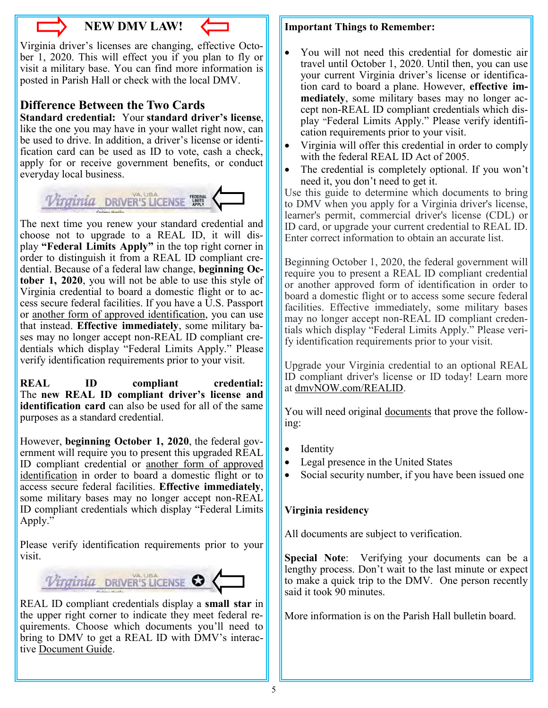

# **NEW DMV LAW!**

Virginia driver's licenses are changing, effective October 1, 2020. This will effect you if you plan to fly or visit a military base. You can find more information is posted in Parish Hall or check with the local DMV.

# **Difference Between the Two Cards**

**Standard credential:** Your **standard driver's license**, like the one you may have in your wallet right now, can be used to drive. In addition, a driver's license or identification card can be used as ID to vote, cash a check, apply for or receive government benefits, or conduct everyday local business.



The next time you renew your standard credential and choose not to upgrade to a REAL ID, it will display **"Federal Limits Apply"** in the top right corner in order to distinguish it from a REAL ID compliant credential. Because of a federal law change, **beginning October 1, 2020**, you will not be able to use this style of Virginia credential to board a domestic flight or to access secure federal facilities. If you have a U.S. Passport or [another form of approved identification,](https://www.tsa.gov/travel/security-screening/identification) you can use that instead. **Effective immediately**, some military bases may no longer accept non-REAL ID compliant credentials which display "Federal Limits Apply." Please verify identification requirements prior to your visit.

**REAL ID compliant credential:** The **new REAL ID compliant driver's license and identification card** can also be used for all of the same purposes as a standard credential.

However, **beginning October 1, 2020**, the federal government will require you to present this upgraded REAL ID compliant credential or [another form of approved](https://www.tsa.gov/travel/security-screening/identification)  [identification](https://www.tsa.gov/travel/security-screening/identification) in order to board a domestic flight or to access secure federal facilities. **Effective immediately**, some military bases may no longer accept non-REAL ID compliant credentials which display "Federal Limits Apply."

Please verify identification requirements prior to your visit.



REAL ID compliant credentials display a **small star** in the upper right corner to indicate they meet federal requirements. Choose which documents you'll need to bring to DMV to get a REAL ID with DMV's interactive [Document Guide.](https://www.dmv.virginia.gov/apps/documentbuilder/intro.aspx)

#### **Important Things to Remember:**

- You will not need this credential for domestic air travel until October 1, 2020. Until then, you can use your current Virginia driver's license or identification card to board a plane. However, **effective immediately**, some military bases may no longer accept non-REAL ID compliant credentials which display "Federal Limits Apply." Please verify identification requirements prior to your visit.
- Virginia will offer this credential in order to comply with the federal REAL ID Act of 2005.
- The credential is completely optional. If you won't need it, you don't need to get it.

Use this guide to determine which documents to bring to DMV when you apply for a Virginia driver's license, learner's permit, commercial driver's license (CDL) or ID card, or upgrade your current credential to REAL ID. Enter correct information to obtain an accurate list.

Beginning October 1, 2020, the federal government will require you to present a REAL ID compliant credential or another approved form of identification in order to board a domestic flight or to access some secure federal facilities. Effective immediately, some military bases may no longer accept non-REAL ID compliant credentials which display "Federal Limits Apply." Please verify identification requirements prior to your visit.

Upgrade your Virginia credential to an optional REAL ID compliant driver's license or ID today! Learn more at [dmvNOW.com/REALID.](https://www.dmv.virginia.gov/REALID)

You will need original [documents](https://www.dmv.virginia.gov/webdoc/pdf/dmv141.pdf) that prove the following:

- **Identity**
- Legal presence in the United States
- Social security number, if you have been issued one

## **Virginia residency**

All documents are subject to verification.

**Special Note**: Verifying your documents can be a lengthy process. Don't wait to the last minute or expect to make a quick trip to the DMV. One person recently said it took 90 minutes.

More information is on the Parish Hall bulletin board.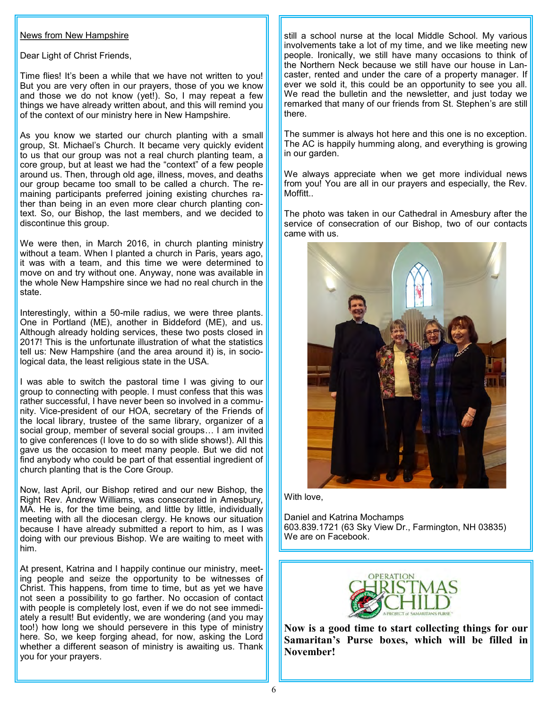#### News from New Hampshire

Dear Light of Christ Friends,

Time flies! It's been a while that we have not written to you! But you are very often in our prayers, those of you we know and those we do not know (yet!). So, I may repeat a few things we have already written about, and this will remind you of the context of our ministry here in New Hampshire.

As you know we started our church planting with a small group, St. Michael's Church. It became very quickly evident to us that our group was not a real church planting team, a core group, but at least we had the "context" of a few people around us. Then, through old age, illness, moves, and deaths our group became too small to be called a church. The remaining participants preferred joining existing churches rather than being in an even more clear church planting context. So, our Bishop, the last members, and we decided to discontinue this group.

We were then, in March 2016, in church planting ministry without a team. When I planted a church in Paris, years ago, it was with a team, and this time we were determined to move on and try without one. Anyway, none was available in the whole New Hampshire since we had no real church in the state.

Interestingly, within a 50-mile radius, we were three plants. One in Portland (ME), another in Biddeford (ME), and us. Although already holding services, these two posts closed in 2017! This is the unfortunate illustration of what the statistics tell us: New Hampshire (and the area around it) is, in sociological data, the least religious state in the USA.

I was able to switch the pastoral time I was giving to our group to connecting with people. I must confess that this was rather successful, I have never been so involved in a community. Vice-president of our HOA, secretary of the Friends of the local library, trustee of the same library, organizer of a social group, member of several social groups... I am invited to give conferences (I love to do so with slide shows!). All this gave us the occasion to meet many people. But we did not find anybody who could be part of that essential ingredient of church planting that is the Core Group.

Now, last April, our Bishop retired and our new Bishop, the Right Rev. Andrew Williams, was consecrated in Amesbury, MA. He is, for the time being, and little by little, individually meeting with all the diocesan clergy. He knows our situation because I have already submitted a report to him, as I was doing with our previous Bishop. We are waiting to meet with him.

At present, Katrina and I happily continue our ministry, meeting people and seize the opportunity to be witnesses of Christ. This happens, from time to time, but as yet we have not seen a possibility to go farther. No occasion of contact with people is completely lost, even if we do not see immediately a result! But evidently, we are wondering (and you may too!) how long we should persevere in this type of ministry here. So, we keep forging ahead, for now, asking the Lord whether a different season of ministry is awaiting us. Thank you for your prayers.

still a school nurse at the local Middle School. My various involvements take a lot of my time, and we like meeting new people. Ironically, we still have many occasions to think of the Northern Neck because we still have our house in Lancaster, rented and under the care of a property manager. If ever we sold it, this could be an opportunity to see you all. We read the bulletin and the newsletter, and just today we remarked that many of our friends from St. Stephen's are still there.

The summer is always hot here and this one is no exception. The AC is happily humming along, and everything is growing in our garden.

We always appreciate when we get more individual news from you! You are all in our prayers and especially, the Rev. Moffitt...

The photo was taken in our Cathedral in Amesbury after the service of consecration of our Bishop, two of our contacts came with us.



With love,

Daniel and Katrina Mochamps 603.839.1721 (63 Sky View Dr., Farmington, NH 03835) We are on Facebook.



**Now is a good time to start collecting things for our Samaritan's Purse boxes, which will be filled in November!**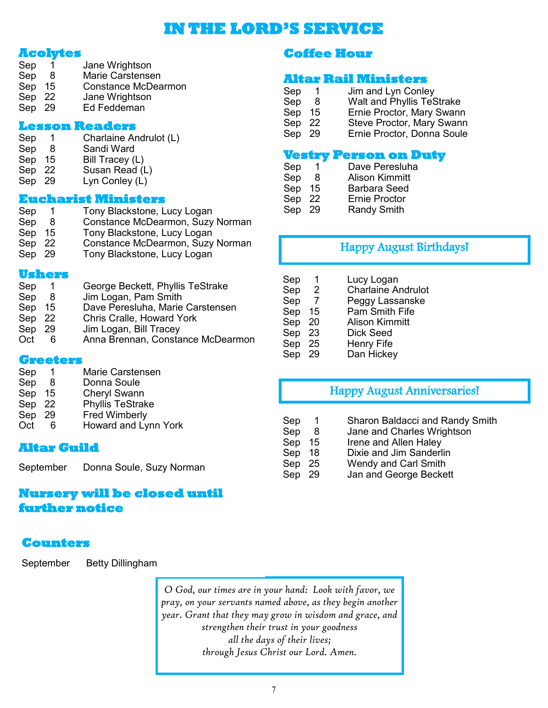# **IN THE LORD'S SERVICE**

## **Acolytes**

- Sep 1 Jane Wrightson Sep 8 Marie Carstensen Sep 15 Constance McDearmon
- Sep 22 Jane Wrightson
- Sep 29 Ed Feddeman

#### **Lesson Readers**

- Sep 1 Charlaine Andrulot (L)
- Sep 8 Sandi Ward<br>Sep 15 Bill Tracev (I
- Bill Tracey (L)
- Sep 22 Susan Read (L)
- Sep 29 Lyn Conley (L)

#### **Eucharist Ministers**

| Sep    | $\overline{1}$ | Tony Blackstone, Lucy Logan      |
|--------|----------------|----------------------------------|
| Sep    | -8             | Constance McDearmon, Suzy Norman |
| Sep    | 15             | Tony Blackstone, Lucy Logan      |
| Sep 22 |                | Constance McDearmon, Suzy Norman |
| Sep 29 |                | Tony Blackstone, Lucy Logan      |
|        |                |                                  |

#### **Ushers**

Sep 1 George Beckett, Phyllis TeStrake Sep 8 Jim Logan, Pam Smith Sep 15 Dave Peresluha, Marie Carstensen Sep 22 Chris Cralle, Howard York Sep 29 Jim Logan, Bill Tracey Oct 6 Anna Brennan, Constance McDearmon

#### **Greeters**

|        | Marie Carstensen        |
|--------|-------------------------|
| -8     | Donna Soule             |
| Sep 15 | <b>Cheryl Swann</b>     |
| Sep 22 | <b>Phyllis TeStrake</b> |
| - 29   | <b>Fred Wimberly</b>    |
| 6      | Howard and Lynn York    |
|        |                         |

## **Altar Guild**

September Donna Soule, Suzy Norman

# **Nursery will be closed until further notice**

# **Counters**

September Betty Dillingham

*O God, our times are in your hand: Look with favor, we pray, on your servants named above, as they begin another year. Grant that they may grow in wisdom and grace, and strengthen their trust in your goodness all the days of their lives;* 

*through Jesus Christ our Lord. Amen.*

# **Coffee Hour**

### **Altar Rail Ministers**

- Sep 1 Jim and Lyn Conley Sep 8 Walt and Phyllis TeStrake<br>Sep 15 Ernie Proctor, Mary Swanr
- Sep 15 Ernie Proctor, Mary Swann<br>Sep 22 Steve Proctor, Mary Swann
- Steve Proctor, Mary Swann
- Sep 29 Ernie Proctor, Donna Soule

## **Vestry Person on Duty**

- Sep 1 Dave Peresluha
- Sep 8 Alison Kimmitt<br>Sep 15 Barbara Seed
- Barbara Seed
- Sep 22 Ernie Proctor

Sep 29 Randy Smith

# Happy August Birthdays!

| Sep    |                | Lucy Logan                |
|--------|----------------|---------------------------|
| Sep    | $\overline{2}$ | <b>Charlaine Andrulot</b> |
| Sep    | - 7            | Peggy Lassanske           |
| Sep    | 15             | Pam Smith Fife            |
| Sep    | - 20           | <b>Alison Kimmitt</b>     |
| Sep 23 |                | Dick Seed                 |
| Sep 25 |                | <b>Henry Fife</b>         |
| Sep 29 |                | Dan Hickey                |

# Happy August Anniversaries!

- Sep 1 Sharon Baldacci and Randy Smith
- Sep 8 Jane and Charles Wrightson
- Sep 15 Irene and Allen Haley
- Sep 18 Dixie and Jim Sanderlin
- Sep 25 Wendy and Carl Smith
- Sep 29 Jan and George Beckett